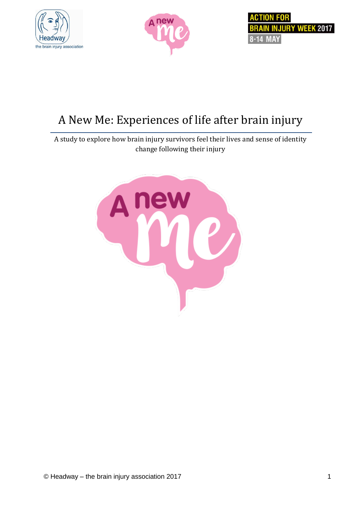





# A New Me: Experiences of life after brain injury

A study to explore how brain injury survivors feel their lives and sense of identity change following their injury

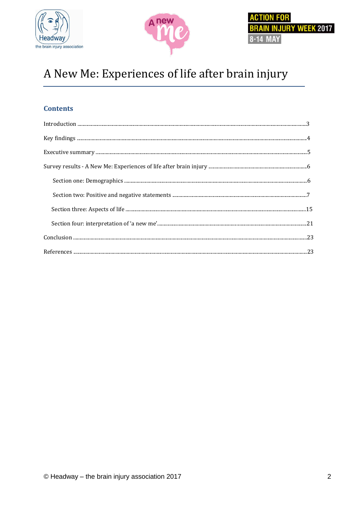





# A New Me: Experiences of life after brain injury

## **Contents**

| $\label{eq:key} \mbox{Key findings } \mbox{} \mbox{} \mbox{} \mbox{} \mbox{} \mbox{} \mbox{} \mbox{} \mbox{} \mbox{} \mbox{} \mbox{} \mbox{} \mbox{} \mbox{} \mbox{} \mbox{} \mbox{} \mbox{} \mbox{} \mbox{} \mbox{} \mbox{} \mbox{} \mbox{} \mbox{} \mbox{} \mbox{} \mbox{} \mbox{} \mbox{} \mbox{} \mbox{} \mbox{} \$                                                                                                                       |  |
|-----------------------------------------------------------------------------------------------------------------------------------------------------------------------------------------------------------------------------------------------------------------------------------------------------------------------------------------------------------------------------------------------------------------------------------------------|--|
| $\textbf{Execute summary} \textit{} \textit{} \\ \textbf{15} \\ \textbf{5} \\ \textbf{6} \\ \textbf{7} \\ \textbf{8} \\ \textbf{18} \\ \textbf{19} \\ \textbf{10} \\ \textbf{10} \\ \textbf{11} \\ \textbf{12} \\ \textbf{13} \\ \textbf{16} \\ \textbf{18} \\ \textbf{19} \\ \textbf{19} \\ \textbf{19} \\ \textbf{19} \\ \textbf{19} \\ \textbf{19} \\ \textbf{19} \\ \textbf{19} \\ \textbf{19} \\ \textbf{19} \\ \textbf{19} \\ \textbf{$ |  |
|                                                                                                                                                                                                                                                                                                                                                                                                                                               |  |
|                                                                                                                                                                                                                                                                                                                                                                                                                                               |  |
|                                                                                                                                                                                                                                                                                                                                                                                                                                               |  |
|                                                                                                                                                                                                                                                                                                                                                                                                                                               |  |
|                                                                                                                                                                                                                                                                                                                                                                                                                                               |  |
|                                                                                                                                                                                                                                                                                                                                                                                                                                               |  |
|                                                                                                                                                                                                                                                                                                                                                                                                                                               |  |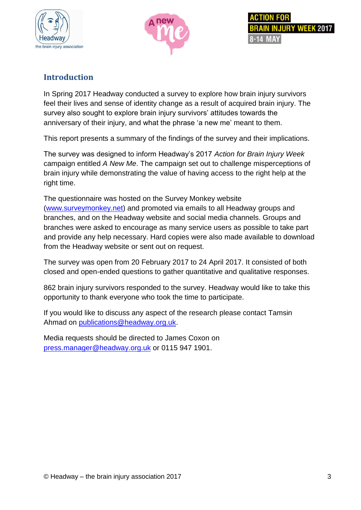



## **Introduction**

In Spring 2017 Headway conducted a survey to explore how brain injury survivors feel their lives and sense of identity change as a result of acquired brain injury. The survey also sought to explore brain injury survivors' attitudes towards the anniversary of their injury, and what the phrase 'a new me' meant to them.

This report presents a summary of the findings of the survey and their implications.

The survey was designed to inform Headway's 2017 *Action for Brain Injury Week*  campaign entitled *A New Me*. The campaign set out to challenge misperceptions of brain injury while demonstrating the value of having access to the right help at the right time.

The questionnaire was hosted on the Survey Monkey website [\(www.surveymonkey.net\)](http://www.surveymonkey.net/) and promoted via emails to all Headway groups and branches, and on the Headway website and social media channels. Groups and branches were asked to encourage as many service users as possible to take part and provide any help necessary. Hard copies were also made available to download from the Headway website or sent out on request.

The survey was open from 20 February 2017 to 24 April 2017. It consisted of both closed and open-ended questions to gather quantitative and qualitative responses.

862 brain injury survivors responded to the survey. Headway would like to take this opportunity to thank everyone who took the time to participate.

If you would like to discuss any aspect of the research please contact Tamsin Ahmad on [publications@headway.org.uk.](mailto:publications@headway.org.uk)

Media requests should be directed to James Coxon on [press.manager@headway.org.uk](mailto:press.manager@headway.org.uk) or 0115 947 1901.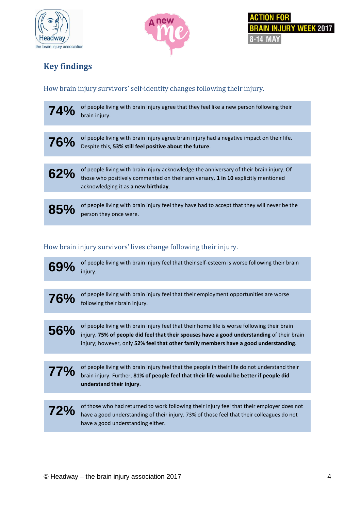





## **Key findings**

How brain injury survivors' self-identity changes following their injury.

| <b>74%</b> | of people living with brain injury agree that they feel like a new person following their<br>brain injury.                                                                                                           |
|------------|----------------------------------------------------------------------------------------------------------------------------------------------------------------------------------------------------------------------|
|            |                                                                                                                                                                                                                      |
| <b>76%</b> | of people living with brain injury agree brain injury had a negative impact on their life.<br>Despite this, 53% still feel positive about the future.                                                                |
|            |                                                                                                                                                                                                                      |
| 62%        | of people living with brain injury acknowledge the anniversary of their brain injury. Of<br>those who positively commented on their anniversary, 1 in 10 explicitly mentioned<br>acknowledging it as a new birthday. |
|            |                                                                                                                                                                                                                      |
| 85%        | of people living with brain injury feel they have had to accept that they will never be the<br>person they once were.                                                                                                |

### How brain injury survivors' lives change following their injury.

- of people living with brain injury feel that their self-esteem is worse following their brain **69%** injury.
- 76% of people living with brain injury feel that their employment opportunities are worse following their brain injury.
- of people living with brain injury feel that their home life is worse following their brain injury. **75% of people did feel that their spouses have a good understanding** of their brain injury; however, only **52% feel that other family members have a good understanding**. **56%**
- of people living with brain injury feel that the people in their life do not understand their brain injury. Further, **81% of people feel that their life would be better if people did understand their injury**. **77%**

#### of those who had returned to work following their injury feel that their employer does not have a good understanding of their injury. 73% of those feel that their colleagues do not have a good understanding either. **72%**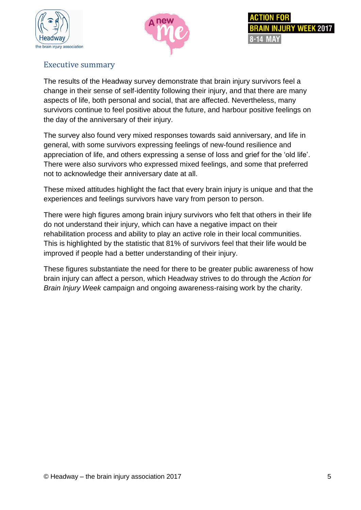





## Executive summary

The results of the Headway survey demonstrate that brain injury survivors feel a change in their sense of self-identity following their injury, and that there are many aspects of life, both personal and social, that are affected. Nevertheless, many survivors continue to feel positive about the future, and harbour positive feelings on the day of the anniversary of their injury.

The survey also found very mixed responses towards said anniversary, and life in general, with some survivors expressing feelings of new-found resilience and appreciation of life, and others expressing a sense of loss and grief for the 'old life'. There were also survivors who expressed mixed feelings, and some that preferred not to acknowledge their anniversary date at all.

These mixed attitudes highlight the fact that every brain injury is unique and that the experiences and feelings survivors have vary from person to person.

There were high figures among brain injury survivors who felt that others in their life do not understand their injury, which can have a negative impact on their rehabilitation process and ability to play an active role in their local communities. This is highlighted by the statistic that 81% of survivors feel that their life would be improved if people had a better understanding of their injury.

These figures substantiate the need for there to be greater public awareness of how brain injury can affect a person, which Headway strives to do through the *Action for Brain Injury Week* campaign and ongoing awareness-raising work by the charity.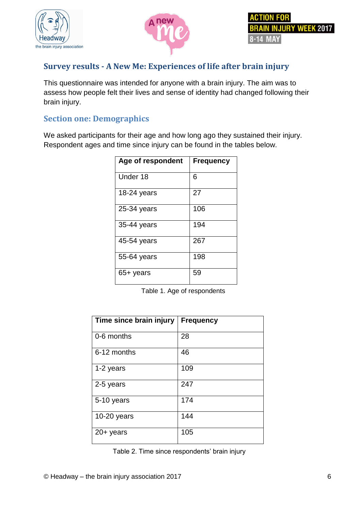





## **Survey results - A New Me: Experiences of life after brain injury**

This questionnaire was intended for anyone with a brain injury. The aim was to assess how people felt their lives and sense of identity had changed following their brain injury.

## **Section one: Demographics**

We asked participants for their age and how long ago they sustained their injury. Respondent ages and time since injury can be found in the tables below.

| Age of respondent | <b>Frequency</b> |
|-------------------|------------------|
| Under 18          | 6                |
| 18-24 years       | 27               |
| $25-34$ years     | 106              |
| 35-44 years       | 194              |
| 45-54 years       | 267              |
| 55-64 years       | 198              |
| 65+ years         | 59               |

Table 1. Age of respondents

| Time since brain injury | <b>Frequency</b> |
|-------------------------|------------------|
| 0-6 months              | 28               |
| 6-12 months             | 46               |
| 1-2 years               | 109              |
| 2-5 years               | 247              |
| 5-10 years              | 174              |
| 10-20 years             | 144              |
| $20+$ years             | 105              |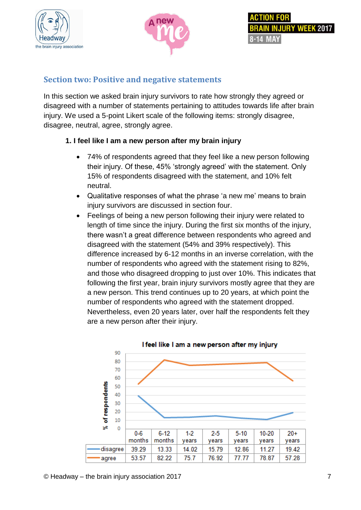





## **Section two: Positive and negative statements**

In this section we asked brain injury survivors to rate how strongly they agreed or disagreed with a number of statements pertaining to attitudes towards life after brain injury. We used a 5-point Likert scale of the following items: strongly disagree, disagree, neutral, agree, strongly agree.

### **1. I feel like I am a new person after my brain injury**

- 74% of respondents agreed that they feel like a new person following their injury. Of these, 45% 'strongly agreed' with the statement. Only 15% of respondents disagreed with the statement, and 10% felt neutral.
- Qualitative responses of what the phrase 'a new me' means to brain injury survivors are discussed in section four.
- Feelings of being a new person following their injury were related to length of time since the injury. During the first six months of the injury, there wasn't a great difference between respondents who agreed and disagreed with the statement (54% and 39% respectively). This difference increased by 6-12 months in an inverse correlation, with the number of respondents who agreed with the statement rising to 82%, and those who disagreed dropping to just over 10%. This indicates that following the first year, brain injury survivors mostly agree that they are a new person. This trend continues up to 20 years, at which point the number of respondents who agreed with the statement dropped. Nevertheless, even 20 years later, over half the respondents felt they are a new person after their injury.



#### I feel like I am a new person after my injury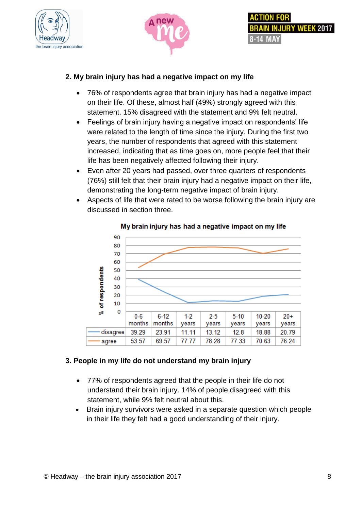





### **2. My brain injury has had a negative impact on my life**

- 76% of respondents agree that brain injury has had a negative impact on their life. Of these, almost half (49%) strongly agreed with this statement. 15% disagreed with the statement and 9% felt neutral.
- Feelings of brain injury having a negative impact on respondents' life were related to the length of time since the injury. During the first two years, the number of respondents that agreed with this statement increased, indicating that as time goes on, more people feel that their life has been negatively affected following their injury.
- Even after 20 years had passed, over three quarters of respondents (76%) still felt that their brain injury had a negative impact on their life, demonstrating the long-term negative impact of brain injury.
- Aspects of life that were rated to be worse following the brain injury are discussed in section three.



#### My brain injury has had a negative impact on my life

### **3. People in my life do not understand my brain injury**

- 77% of respondents agreed that the people in their life do not understand their brain injury. 14% of people disagreed with this statement, while 9% felt neutral about this.
- Brain injury survivors were asked in a separate question which people in their life they felt had a good understanding of their injury.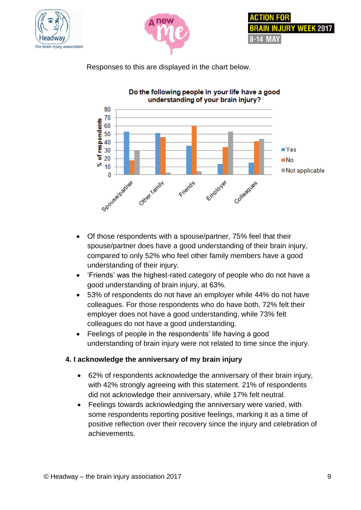





Responses to this are displayed in the chart below.



- Of those respondents with a spouse/partner, 75% feel that their spouse/partner does have a good understanding of their brain injury, compared to only 52% who feel other family members have a good understanding of their injury.
- 'Friends' was the highest-rated category of people who do not have a good understanding of brain injury, at 63%.
- 53% of respondents do not have an employer while 44% do not have colleagues. For those respondents who do have both, 72% felt their employer does not have a good understanding, while 73% felt colleagues do not have a good understanding.
- Feelings of people in the respondents' life having a good understanding of brain injury were not related to time since the injury.

### **4. I acknowledge the anniversary of my brain injury**

- 62% of respondents acknowledge the anniversary of their brain injury, with 42% strongly agreeing with this statement. 21% of respondents did not acknowledge their anniversary, while 17% felt neutral.
- Feelings towards acknowledging the anniversary were varied, with some respondents reporting positive feelings, marking it as a time of positive reflection over their recovery since the injury and celebration of achievements.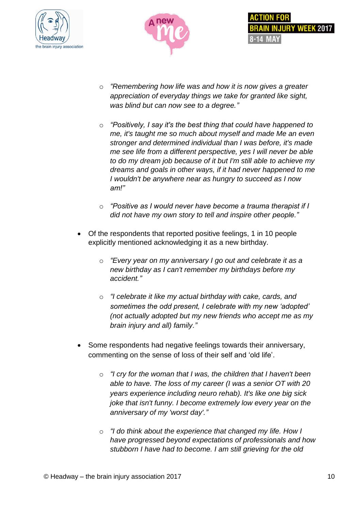





- o *"Remembering how life was and how it is now gives a greater appreciation of everyday things we take for granted like sight, was blind but can now see to a degree."*
- o *"Positively, I say it's the best thing that could have happened to me, it's taught me so much about myself and made Me an even stronger and determined individual than I was before, it's made me see life from a different perspective, yes I will never be able to do my dream job because of it but I'm still able to achieve my dreams and goals in other ways, if it had never happened to me I wouldn't be anywhere near as hungry to succeed as I now am!"*
- o *"Positive as I would never have become a trauma therapist if I did not have my own story to tell and inspire other people."*
- Of the respondents that reported positive feelings, 1 in 10 people explicitly mentioned acknowledging it as a new birthday.
	- o *"Every year on my anniversary I go out and celebrate it as a new birthday as I can't remember my birthdays before my accident."*
	- o *"I celebrate it like my actual birthday with cake, cards, and sometimes the odd present, I celebrate with my new 'adopted' (not actually adopted but my new friends who accept me as my brain injury and all) family."*
- Some respondents had negative feelings towards their anniversary, commenting on the sense of loss of their self and 'old life'.
	- o *"I cry for the woman that I was, the children that I haven't been able to have. The loss of my career (I was a senior OT with 20 years experience including neuro rehab). It's like one big sick joke that isn't funny. I become extremely low every year on the anniversary of my 'worst day'."*
	- o *"I do think about the experience that changed my life. How I have progressed beyond expectations of professionals and how stubborn I have had to become. I am still grieving for the old*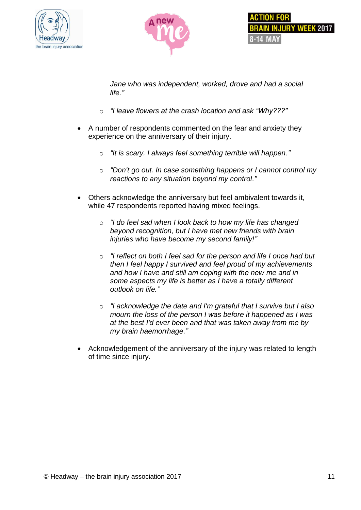





*Jane who was independent, worked, drove and had a social life."*

- o *"I leave flowers at the crash location and ask "Why???"*
- A number of respondents commented on the fear and anxiety they experience on the anniversary of their injury.
	- o *"It is scary. I always feel something terrible will happen."*
	- o *"Don't go out. In case something happens or I cannot control my reactions to any situation beyond my control."*
- Others acknowledge the anniversary but feel ambivalent towards it, while 47 respondents reported having mixed feelings.
	- o *"I do feel sad when I look back to how my life has changed beyond recognition, but I have met new friends with brain injuries who have become my second family!"*
	- o *"I reflect on both I feel sad for the person and life I once had but then I feel happy I survived and feel proud of my achievements and how I have and still am coping with the new me and in some aspects my life is better as I have a totally different outlook on life."*
	- o *"I acknowledge the date and I'm grateful that I survive but I also mourn the loss of the person I was before it happened as I was at the best I'd ever been and that was taken away from me by my brain haemorrhage."*
- Acknowledgement of the anniversary of the injury was related to length of time since injury.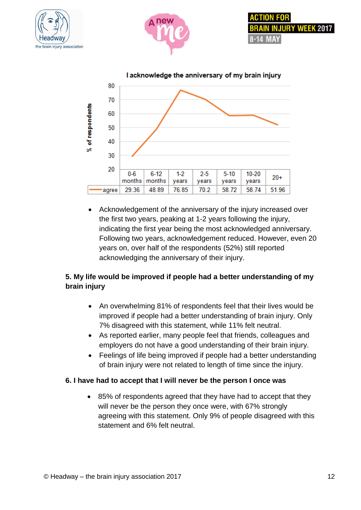







 Acknowledgement of the anniversary of the injury increased over the first two years, peaking at 1-2 years following the injury, indicating the first year being the most acknowledged anniversary. Following two years, acknowledgement reduced. However, even 20 years on, over half of the respondents (52%) still reported acknowledging the anniversary of their injury.

## **5. My life would be improved if people had a better understanding of my brain injury**

- An overwhelming 81% of respondents feel that their lives would be improved if people had a better understanding of brain injury. Only 7% disagreed with this statement, while 11% felt neutral.
- As reported earlier, many people feel that friends, colleagues and employers do not have a good understanding of their brain injury.
- Feelings of life being improved if people had a better understanding of brain injury were not related to length of time since the injury.

### **6. I have had to accept that I will never be the person I once was**

 85% of respondents agreed that they have had to accept that they will never be the person they once were, with 67% strongly agreeing with this statement. Only 9% of people disagreed with this statement and 6% felt neutral.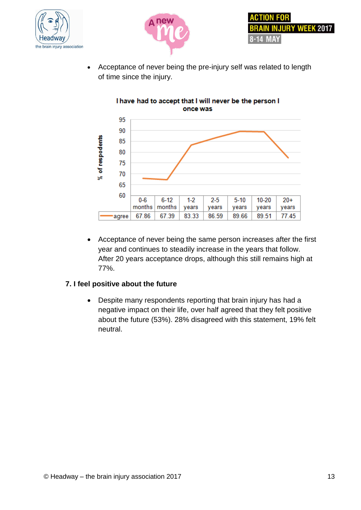![](_page_12_Picture_0.jpeg)

![](_page_12_Picture_1.jpeg)

![](_page_12_Picture_2.jpeg)

 Acceptance of never being the pre-injury self was related to length of time since the injury.

![](_page_12_Figure_4.jpeg)

 Acceptance of never being the same person increases after the first year and continues to steadily increase in the years that follow. After 20 years acceptance drops, although this still remains high at 77%.

### **7. I feel positive about the future**

 Despite many respondents reporting that brain injury has had a negative impact on their life, over half agreed that they felt positive about the future (53%). 28% disagreed with this statement, 19% felt neutral.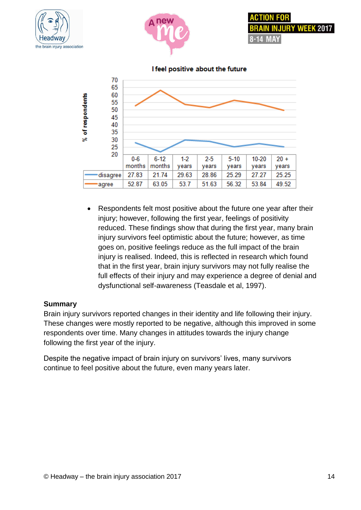![](_page_13_Picture_0.jpeg)

![](_page_13_Picture_1.jpeg)

70 65 60

![](_page_13_Picture_2.jpeg)

**WEEK 2017** 

![](_page_13_Figure_3.jpeg)

 Respondents felt most positive about the future one year after their injury; however, following the first year, feelings of positivity reduced. These findings show that during the first year, many brain injury survivors feel optimistic about the future; however, as time goes on, positive feelings reduce as the full impact of the brain injury is realised. Indeed, this is reflected in research which found that in the first year, brain injury survivors may not fully realise the full effects of their injury and may experience a degree of denial and dysfunctional self-awareness (Teasdale et al, 1997).

### **Summary**

Brain injury survivors reported changes in their identity and life following their injury. These changes were mostly reported to be negative, although this improved in some respondents over time. Many changes in attitudes towards the injury change following the first year of the injury.

Despite the negative impact of brain injury on survivors' lives, many survivors continue to feel positive about the future, even many years later.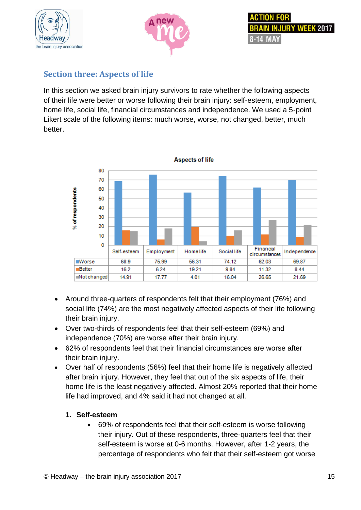![](_page_14_Picture_0.jpeg)

![](_page_14_Picture_1.jpeg)

![](_page_14_Picture_2.jpeg)

## **Section three: Aspects of life**

In this section we asked brain injury survivors to rate whether the following aspects of their life were better or worse following their brain injury: self-esteem, employment, home life, social life, financial circumstances and independence. We used a 5-point Likert scale of the following items: much worse, worse, not changed, better, much better.

![](_page_14_Figure_5.jpeg)

- Around three-quarters of respondents felt that their employment (76%) and social life (74%) are the most negatively affected aspects of their life following their brain injury.
- Over two-thirds of respondents feel that their self-esteem (69%) and independence (70%) are worse after their brain injury.
- 62% of respondents feel that their financial circumstances are worse after their brain injury.
- Over half of respondents (56%) feel that their home life is negatively affected after brain injury. However, they feel that out of the six aspects of life, their home life is the least negatively affected. Almost 20% reported that their home life had improved, and 4% said it had not changed at all.

### **1. Self-esteem**

 69% of respondents feel that their self-esteem is worse following their injury. Out of these respondents, three-quarters feel that their self-esteem is worse at 0-6 months. However, after 1-2 years, the percentage of respondents who felt that their self-esteem got worse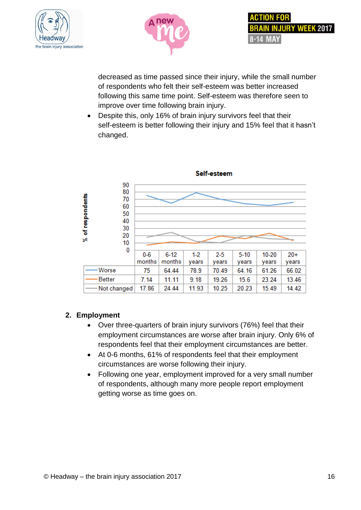![](_page_15_Picture_0.jpeg)

![](_page_15_Picture_1.jpeg)

![](_page_15_Picture_2.jpeg)

decreased as time passed since their injury, while the small number of respondents who felt their self-esteem was better increased following this same time point. Self-esteem was therefore seen to improve over time following brain injury.

 Despite this, only 16% of brain injury survivors feel that their self-esteem is better following their injury and 15% feel that it hasn't changed.

![](_page_15_Figure_5.jpeg)

#### Self-esteem

### **2. Employment**

- Over three-quarters of brain injury survivors (76%) feel that their employment circumstances are worse after brain injury. Only 6% of respondents feel that their employment circumstances are better.
- At 0-6 months, 61% of respondents feel that their employment circumstances are worse following their injury.
- Following one year, employment improved for a very small number of respondents, although many more people report employment getting worse as time goes on.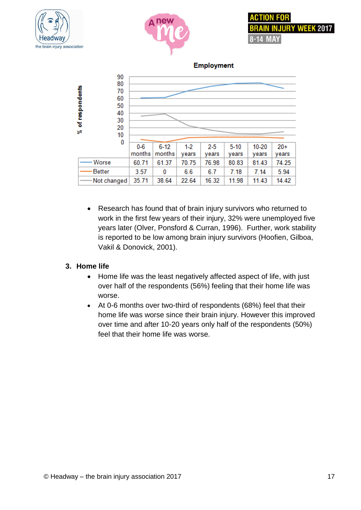![](_page_16_Picture_0.jpeg)

![](_page_16_Picture_1.jpeg)

![](_page_16_Picture_2.jpeg)

![](_page_16_Figure_3.jpeg)

 Research has found that of brain injury survivors who returned to work in the first few years of their injury, 32% were unemployed five years later (Olver, Ponsford & Curran, 1996). Further, work stability is reported to be low among brain injury survivors (Hoofien, Gilboa, Vakil & Donovick, 2001).

### **3. Home life**

- Home life was the least negatively affected aspect of life, with just over half of the respondents (56%) feeling that their home life was worse.
- At 0-6 months over two-third of respondents (68%) feel that their home life was worse since their brain injury. However this improved over time and after 10-20 years only half of the respondents (50%) feel that their home life was worse.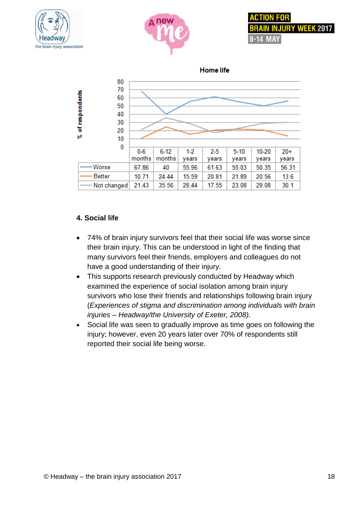![](_page_17_Picture_0.jpeg)

![](_page_17_Picture_1.jpeg)

![](_page_17_Picture_2.jpeg)

![](_page_17_Figure_3.jpeg)

### **4. Social life**

- 74% of brain injury survivors feel that their social life was worse since their brain injury. This can be understood in light of the finding that many survivors feel their friends, employers and colleagues do not have a good understanding of their injury.
- This supports research previously conducted by Headway which examined the experience of social isolation among brain injury survivors who lose their friends and relationships following brain injury (*Experiences of stigma and discrimination among individuals with brain injuries – Headway/the University of Exeter, 2008).*
- Social life was seen to gradually improve as time goes on following the injury; however, even 20 years later over 70% of respondents still reported their social life being worse.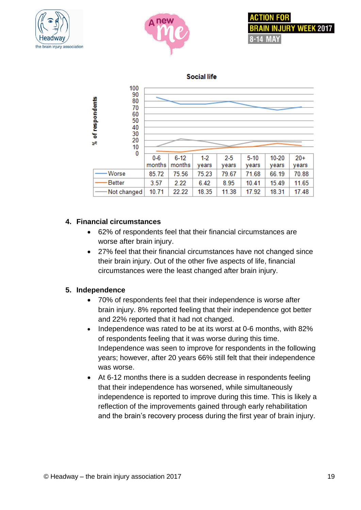![](_page_18_Picture_0.jpeg)

![](_page_18_Picture_1.jpeg)

![](_page_18_Picture_2.jpeg)

![](_page_18_Figure_3.jpeg)

### **4. Financial circumstances**

- 62% of respondents feel that their financial circumstances are worse after brain injury.
- 27% feel that their financial circumstances have not changed since their brain injury. Out of the other five aspects of life, financial circumstances were the least changed after brain injury.

### **5. Independence**

- 70% of respondents feel that their independence is worse after brain injury. 8% reported feeling that their independence got better and 22% reported that it had not changed.
- Independence was rated to be at its worst at 0-6 months, with 82% of respondents feeling that it was worse during this time. Independence was seen to improve for respondents in the following years; however, after 20 years 66% still felt that their independence was worse.
- At 6-12 months there is a sudden decrease in respondents feeling that their independence has worsened, while simultaneously independence is reported to improve during this time. This is likely a reflection of the improvements gained through early rehabilitation and the brain's recovery process during the first year of brain injury.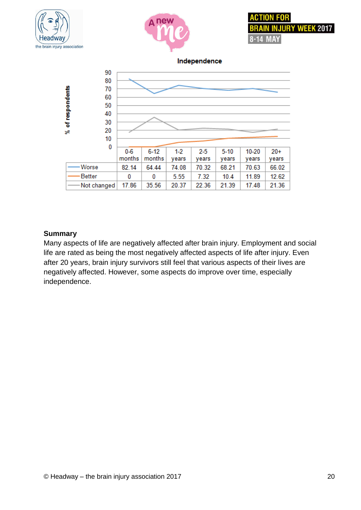![](_page_19_Picture_0.jpeg)

![](_page_19_Picture_1.jpeg)

![](_page_19_Picture_2.jpeg)

Independence

![](_page_19_Figure_4.jpeg)

#### **Summary**

Many aspects of life are negatively affected after brain injury. Employment and social life are rated as being the most negatively affected aspects of life after injury. Even after 20 years, brain injury survivors still feel that various aspects of their lives are negatively affected. However, some aspects do improve over time, especially independence.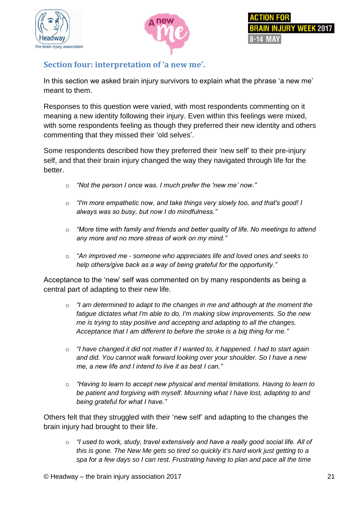![](_page_20_Picture_0.jpeg)

![](_page_20_Picture_1.jpeg)

## **Section four: interpretation of 'a new me'.**

In this section we asked brain injury survivors to explain what the phrase 'a new me' meant to them.

Responses to this question were varied, with most respondents commenting on it meaning a new identity following their injury. Even within this feelings were mixed, with some respondents feeling as though they preferred their new identity and others commenting that they missed their 'old selves'.

Some respondents described how they preferred their 'new self' to their pre-injury self, and that their brain injury changed the way they navigated through life for the better.

- o *"Not the person I once was. I much prefer the 'new me' now."*
- o *"I'm more empathetic now, and take things very slowly too, and that's good! I always was so busy, but now I do mindfulness."*
- o *"More time with family and friends and better quality of life. No meetings to attend any more and no more stress of work on my mind."*
- o *"An improved me - someone who appreciates life and loved ones and seeks to help others/give back as a way of being grateful for the opportunity."*

Acceptance to the 'new' self was commented on by many respondents as being a central part of adapting to their new life.

- o *"I am determined to adapt to the changes in me and although at the moment the fatigue dictates what I'm able to do, I'm making slow improvements. So the new me is trying to stay positive and accepting and adapting to all the changes. Acceptance that I am different to before the stroke is a big thing for me."*
- o *"I have changed it did not matter if I wanted to, it happened. I had to start again and did. You cannot walk forward looking over your shoulder. So I have a new me, a new life and I intend to live it as best I can."*
- o *"Having to learn to accept new physical and mental limitations. Having to learn to be patient and forgiving with myself. Mourning what I have lost, adapting to and being grateful for what I have."*

Others felt that they struggled with their 'new self' and adapting to the changes the brain injury had brought to their life.

o *"I used to work, study, travel extensively and have a really good social life. All of this is gone. The New Me gets so tired so quickly it's hard work just getting to a spa for a few days so I can rest. Frustrating having to plan and pace all the time*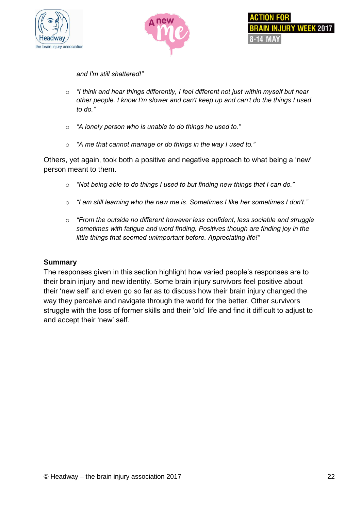![](_page_21_Picture_0.jpeg)

![](_page_21_Picture_1.jpeg)

*and I'm still shattered!"*

- o *"I think and hear things differently, I feel different not just within myself but near other people. I know I'm slower and can't keep up and can't do the things I used to do."*
- o *"A lonely person who is unable to do things he used to."*
- o *"A me that cannot manage or do things in the way I used to."*

Others, yet again, took both a positive and negative approach to what being a 'new' person meant to them.

- o *"Not being able to do things I used to but finding new things that I can do."*
- o *"I am still learning who the new me is. Sometimes I like her sometimes I don't."*
- o *"From the outside no different however less confident, less sociable and struggle sometimes with fatigue and word finding. Positives though are finding joy in the little things that seemed unimportant before. Appreciating life!"*

### **Summary**

The responses given in this section highlight how varied people's responses are to their brain injury and new identity. Some brain injury survivors feel positive about their 'new self' and even go so far as to discuss how their brain injury changed the way they perceive and navigate through the world for the better. Other survivors struggle with the loss of former skills and their 'old' life and find it difficult to adjust to and accept their 'new' self.